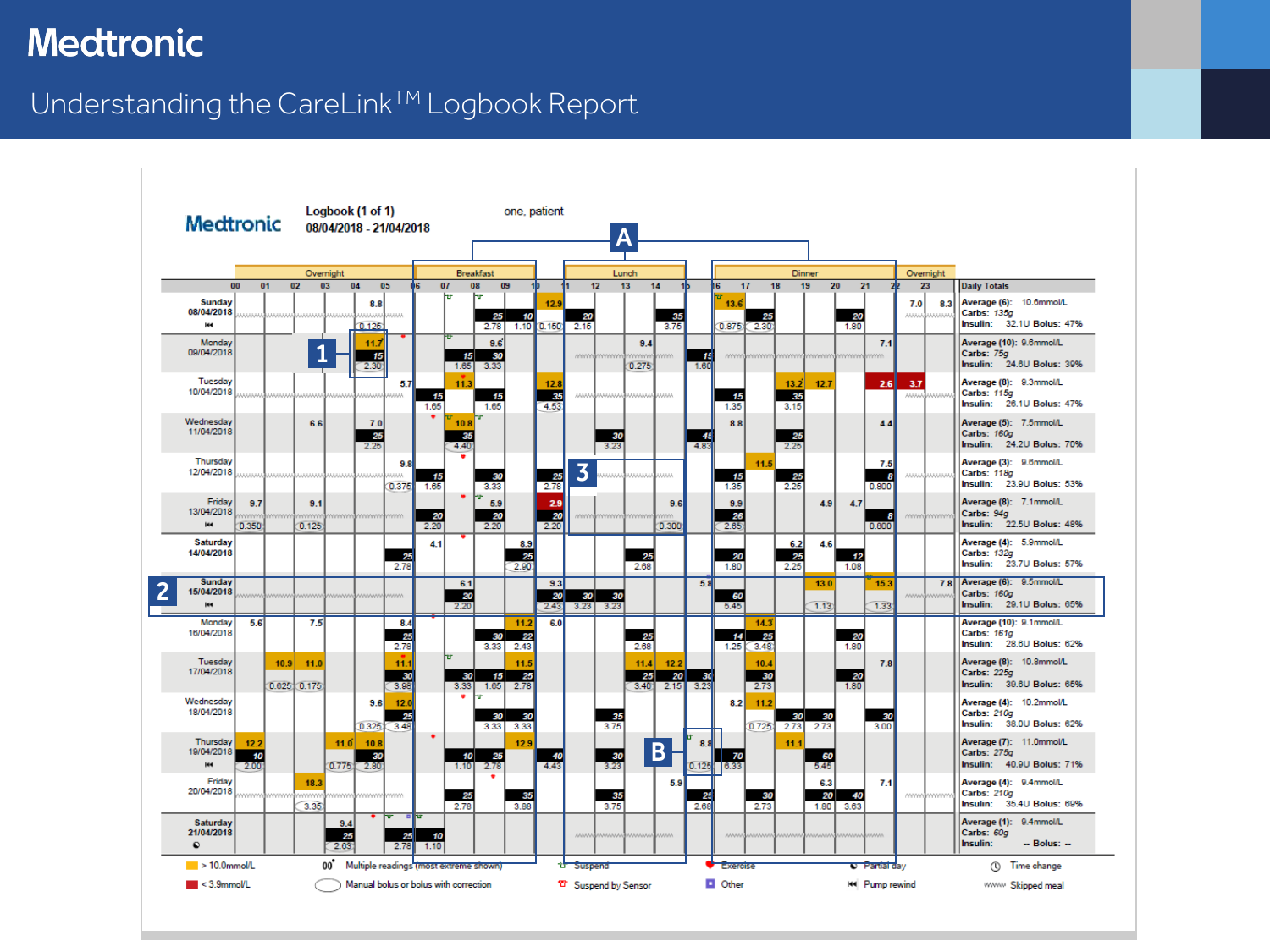#### Understanding the CareLink™ Logbook Report

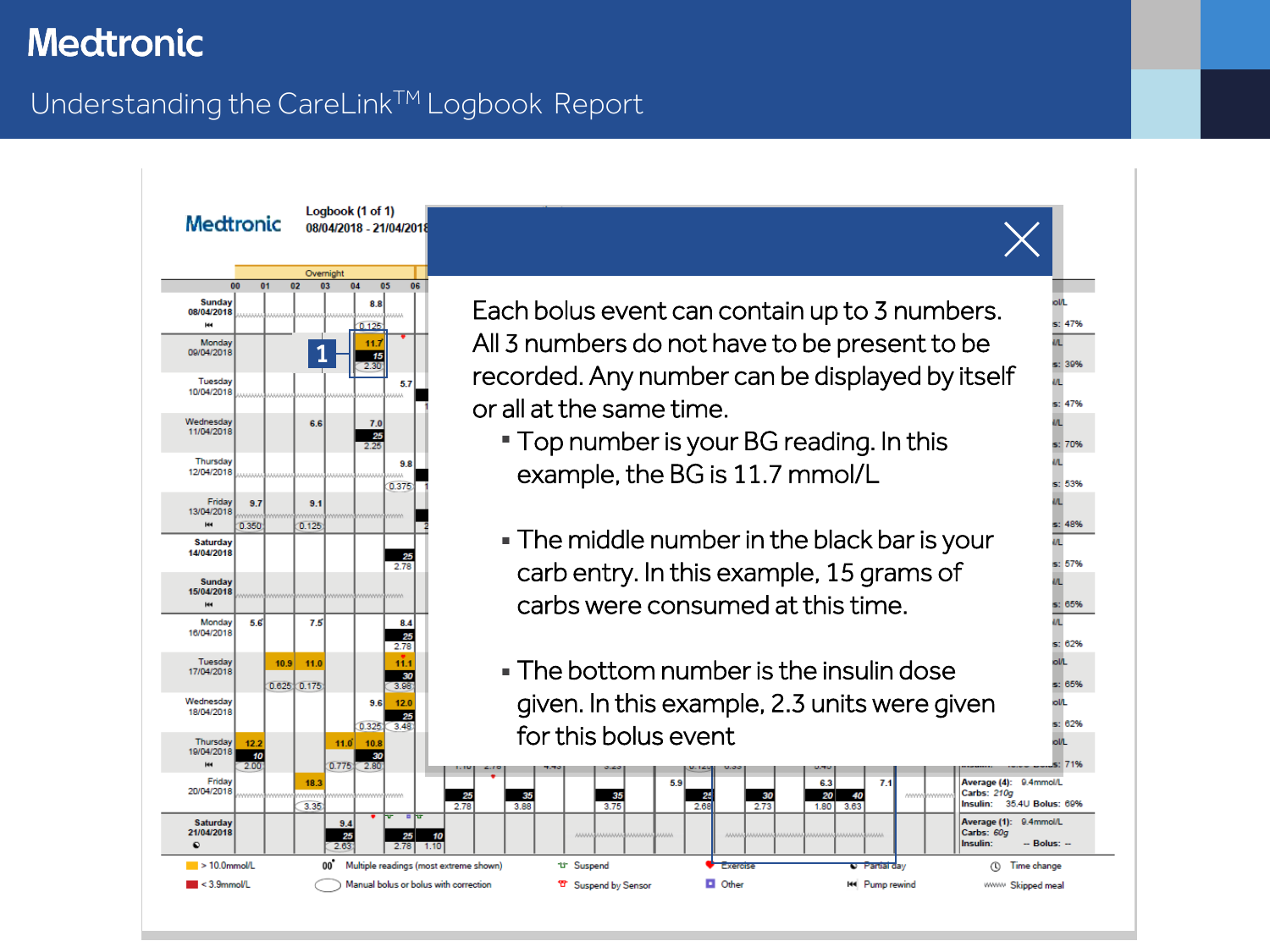### <span id="page-1-0"></span>Understanding the CareLink™ Logbook Report

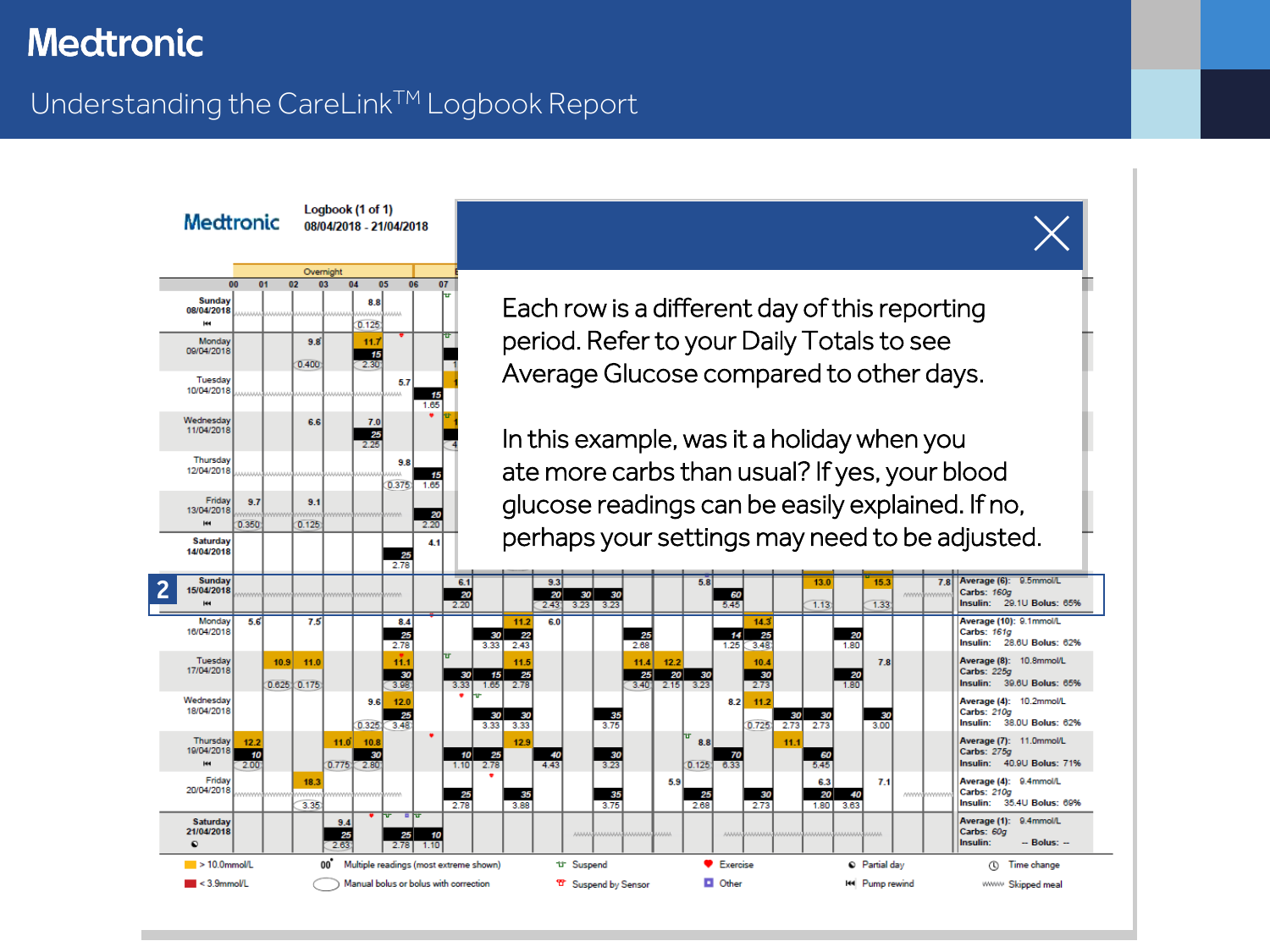#### <span id="page-2-0"></span>Understanding the CareLink™ Logbook Report

Logbook (1 of 1)



Each row is a different day of this reporting period. Refer to your Daily Totals to see Average Glucose compared to other days.

In this example, was it a holiday when you ate more carbs than usual? If yes, your blood glucose readings can be easily explained. If no, perhaps your settings may need to be adjusted.

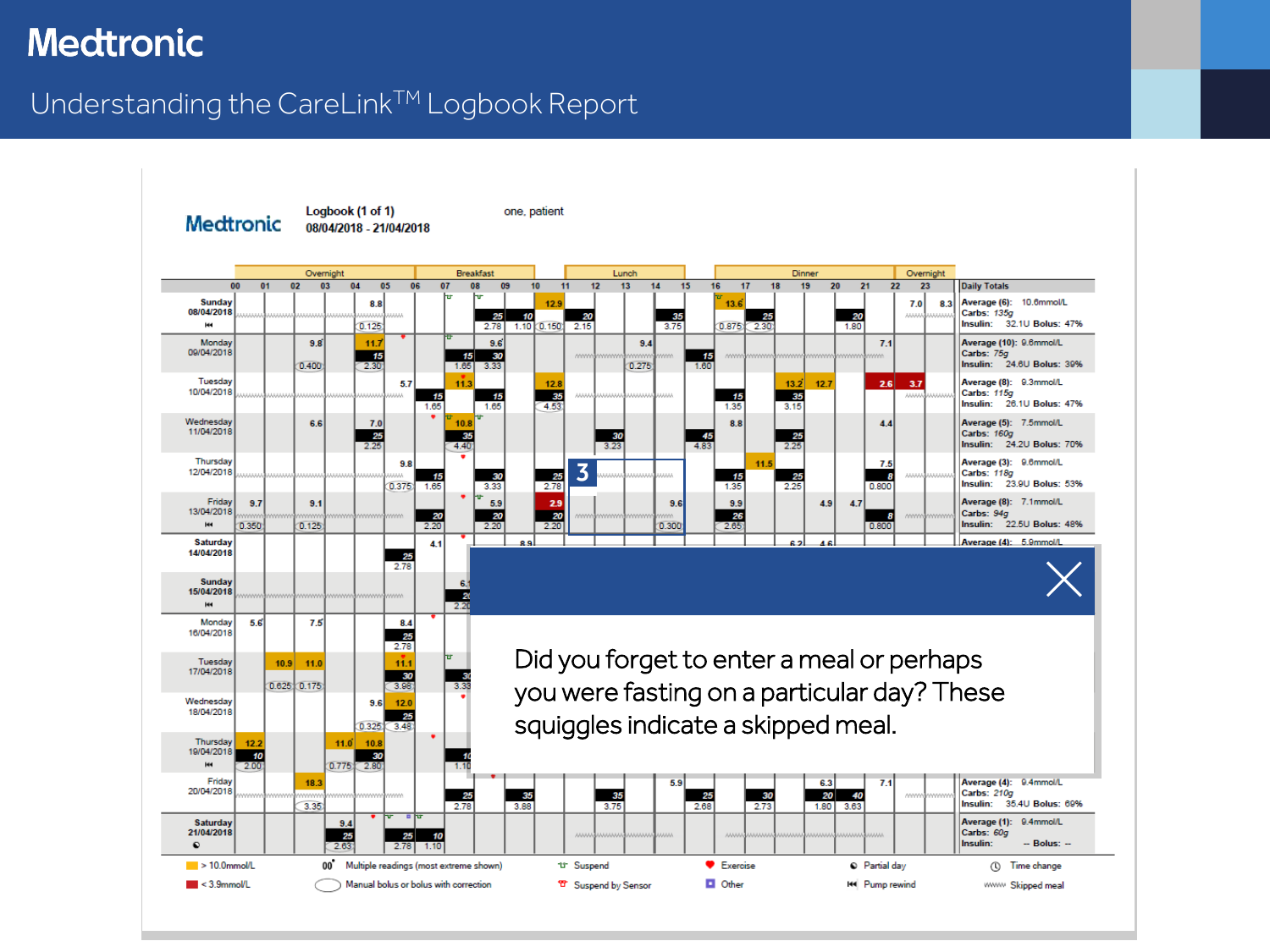### <span id="page-3-0"></span>Understanding the CareLink™ Logbook Report

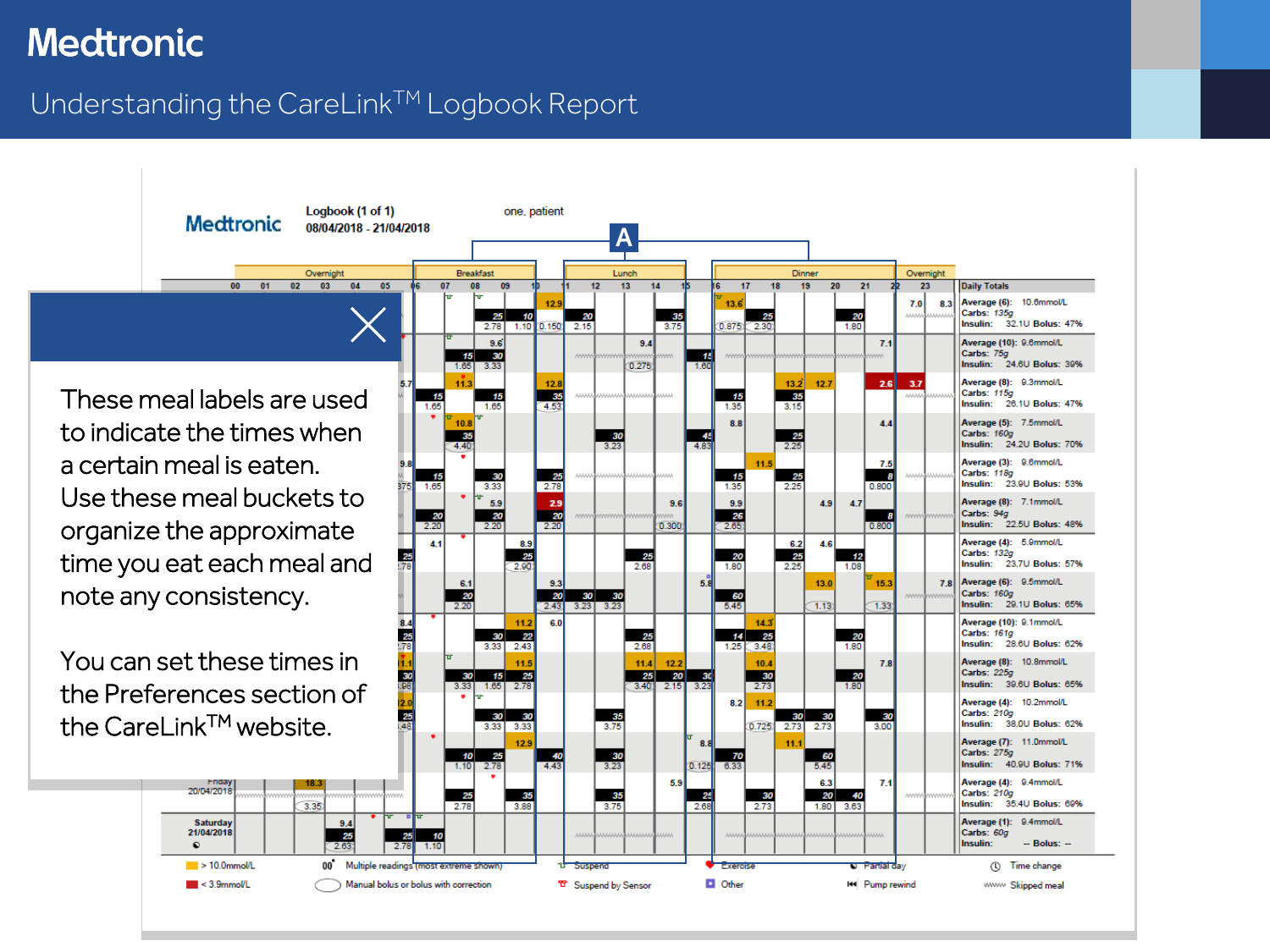## <span id="page-4-0"></span>Understanding the CareLink™ Logbook Report

These meal labels are used to indicate the times when a certain meal is eaten. Use these meal buckets to organize the approximate time you eat each meal and note any consistency.

00

 $01$ 

You can set these times in the Preferences section of the CareLink<sup>TM</sup> website.

20/04/2018

Saturday

21/04/2018

 $\blacktriangleright$  10.0mmol/L

 $\blacksquare$  < 3.9mmol/L

 $\bullet$ 

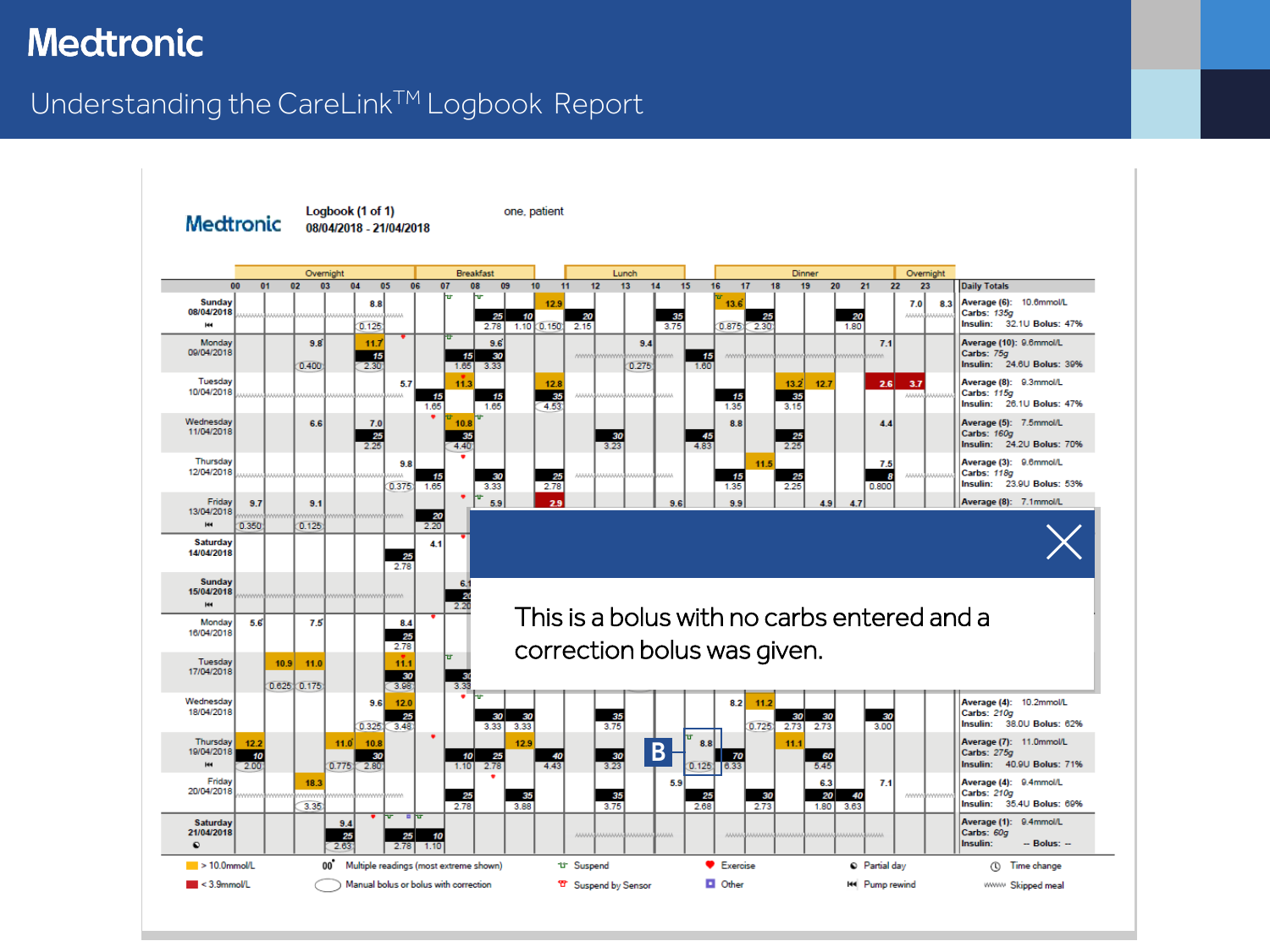### <span id="page-5-0"></span>Understanding the CareLink<sup>TM</sup> Logbook Report